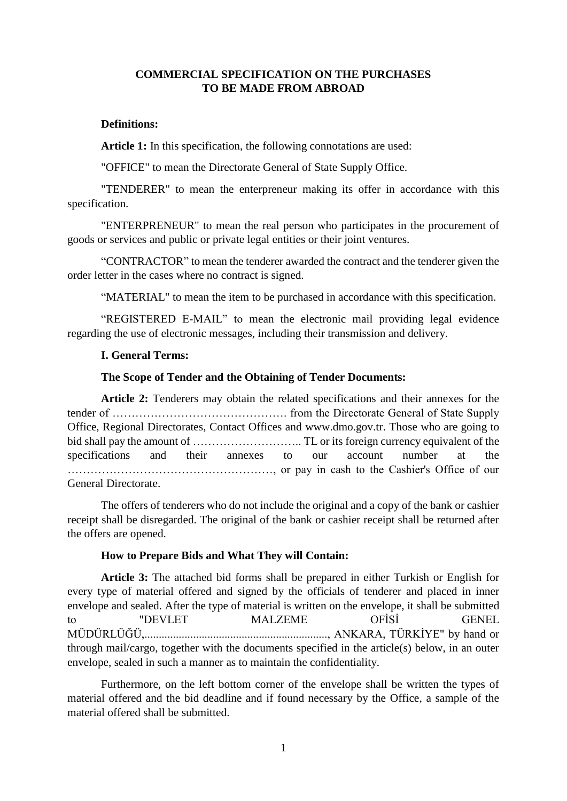## **COMMERCIAL SPECIFICATION ON THE PURCHASES TO BE MADE FROM ABROAD**

### **Definitions:**

**Article 1:** In this specification, the following connotations are used:

"OFFICE" to mean the Directorate General of State Supply Office.

"TENDERER" to mean the enterpreneur making its offer in accordance with this specification.

"ENTERPRENEUR" to mean the real person who participates in the procurement of goods or services and public or private legal entities or their joint ventures.

"CONTRACTOR" to mean the tenderer awarded the contract and the tenderer given the order letter in the cases where no contract is signed.

"MATERIAL" to mean the item to be purchased in accordance with this specification.

"REGISTERED E-MAIL" to mean the electronic mail providing legal evidence regarding the use of electronic messages, including their transmission and delivery.

### **I. General Terms:**

### **The Scope of Tender and the Obtaining of Tender Documents:**

**Article 2:** Tenderers may obtain the related specifications and their annexes for the tender of ………………………………………. from the Directorate General of State Supply Office, Regional Directorates, Contact Offices and www.dmo.gov.tr. Those who are going to bid shall pay the amount of ……………………….. TL or its foreign currency equivalent of the specifications and their annexes to our account number at the ………………………………………………, or pay in cash to the Cashier's Office of our General Directorate.

The offers of tenderers who do not include the original and a copy of the bank or cashier receipt shall be disregarded. The original of the bank or cashier receipt shall be returned after the offers are opened.

#### **How to Prepare Bids and What They will Contain:**

**Article 3:** The attached bid forms shall be prepared in either Turkish or English for every type of material offered and signed by the officials of tenderer and placed in inner envelope and sealed. After the type of material is written on the envelope, it shall be submitted to "DEVLET MALZEME OFİSİ GENEL MÜDÜRLÜĞÜ,................................................................, ANKARA, TÜRKİYE" by hand or through mail/cargo, together with the documents specified in the article(s) below, in an outer envelope, sealed in such a manner as to maintain the confidentiality.

Furthermore, on the left bottom corner of the envelope shall be written the types of material offered and the bid deadline and if found necessary by the Office, a sample of the material offered shall be submitted.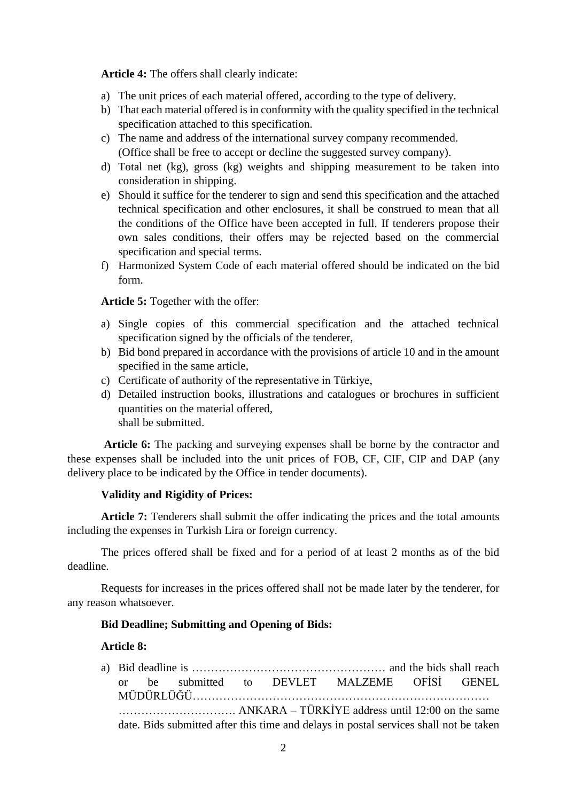**Article 4:** The offers shall clearly indicate:

- a) The unit prices of each material offered, according to the type of delivery.
- b) That each material offered is in conformity with the quality specified in the technical specification attached to this specification.
- c) The name and address of the international survey company recommended. (Office shall be free to accept or decline the suggested survey company).
- d) Total net (kg), gross (kg) weights and shipping measurement to be taken into consideration in shipping.
- e) Should it suffice for the tenderer to sign and send this specification and the attached technical specification and other enclosures, it shall be construed to mean that all the conditions of the Office have been accepted in full. If tenderers propose their own sales conditions, their offers may be rejected based on the commercial specification and special terms.
- f) Harmonized System Code of each material offered should be indicated on the bid form.

## **Article 5:** Together with the offer:

- a) Single copies of this commercial specification and the attached technical specification signed by the officials of the tenderer,
- b) Bid bond prepared in accordance with the provisions of article 10 and in the amount specified in the same article,
- c) Certificate of authority of the representative in Türkiye,
- d) Detailed instruction books, illustrations and catalogues or brochures in sufficient quantities on the material offered, shall be submitted.

 **Article 6:** The packing and surveying expenses shall be borne by the contractor and these expenses shall be included into the unit prices of FOB, CF, CIF, CIP and DAP (any delivery place to be indicated by the Office in tender documents).

# **Validity and Rigidity of Prices:**

**Article 7:** Tenderers shall submit the offer indicating the prices and the total amounts including the expenses in Turkish Lira or foreign currency.

The prices offered shall be fixed and for a period of at least 2 months as of the bid deadline.

Requests for increases in the prices offered shall not be made later by the tenderer, for any reason whatsoever.

## **Bid Deadline; Submitting and Opening of Bids:**

## **Article 8:**

a) Bid deadline is …………………………………………… and the bids shall reach or be submitted to DEVLET MALZEME OFİSİ GENEL MÜDÜRLÜĞÜ…………………………………………………………………… …………………………. ANKARA – TÜRKİYE address until 12:00 on the same date. Bids submitted after this time and delays in postal services shall not be taken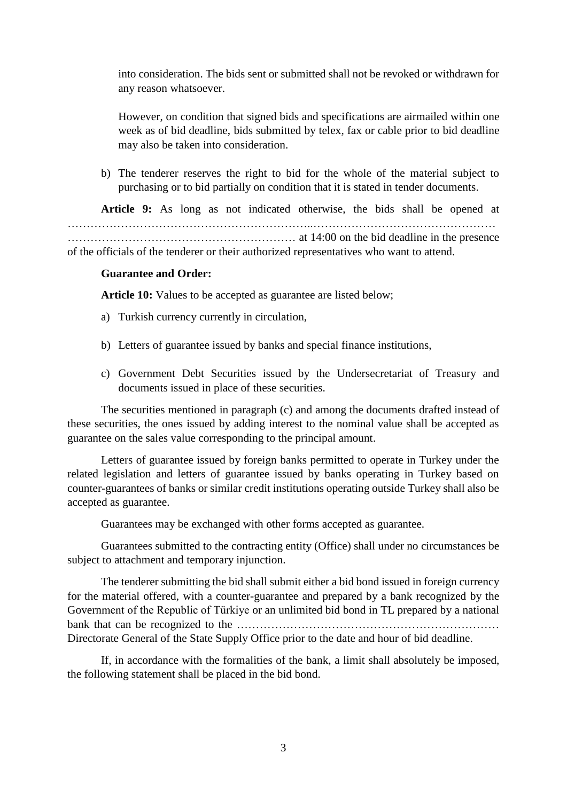into consideration. The bids sent or submitted shall not be revoked or withdrawn for any reason whatsoever.

However, on condition that signed bids and specifications are airmailed within one week as of bid deadline, bids submitted by telex, fax or cable prior to bid deadline may also be taken into consideration.

b) The tenderer reserves the right to bid for the whole of the material subject to purchasing or to bid partially on condition that it is stated in tender documents.

**Article 9:** As long as not indicated otherwise, the bids shall be opened at ………………………………………………………..………………………………………… …………………………………………………… at 14:00 on the bid deadline in the presence of the officials of the tenderer or their authorized representatives who want to attend.

### **Guarantee and Order:**

**Article 10:** Values to be accepted as guarantee are listed below;

- a) Turkish currency currently in circulation,
- b) Letters of guarantee issued by banks and special finance institutions,
- c) Government Debt Securities issued by the Undersecretariat of Treasury and documents issued in place of these securities.

The securities mentioned in paragraph (c) and among the documents drafted instead of these securities, the ones issued by adding interest to the nominal value shall be accepted as guarantee on the sales value corresponding to the principal amount.

Letters of guarantee issued by foreign banks permitted to operate in Turkey under the related legislation and letters of guarantee issued by banks operating in Turkey based on counter-guarantees of banks or similar credit institutions operating outside Turkey shall also be accepted as guarantee.

Guarantees may be exchanged with other forms accepted as guarantee.

Guarantees submitted to the contracting entity (Office) shall under no circumstances be subject to attachment and temporary injunction.

The tenderer submitting the bid shall submit either a bid bond issued in foreign currency for the material offered, with a counter-guarantee and prepared by a bank recognized by the Government of the Republic of Türkiye or an unlimited bid bond in TL prepared by a national bank that can be recognized to the …………………………………………………………… Directorate General of the State Supply Office prior to the date and hour of bid deadline.

If, in accordance with the formalities of the bank, a limit shall absolutely be imposed, the following statement shall be placed in the bid bond.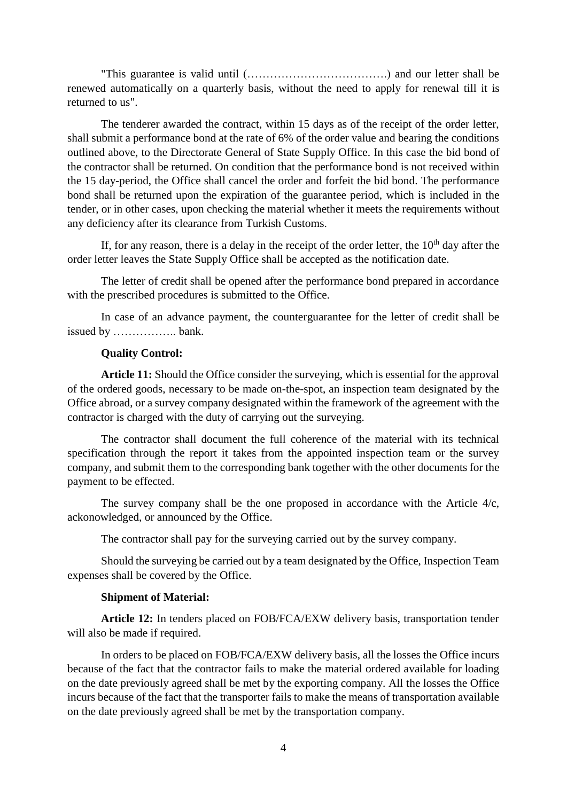"This guarantee is valid until (……………………………….) and our letter shall be renewed automatically on a quarterly basis, without the need to apply for renewal till it is returned to us".

The tenderer awarded the contract, within 15 days as of the receipt of the order letter, shall submit a performance bond at the rate of 6% of the order value and bearing the conditions outlined above, to the Directorate General of State Supply Office. In this case the bid bond of the contractor shall be returned. On condition that the performance bond is not received within the 15 day-period, the Office shall cancel the order and forfeit the bid bond. The performance bond shall be returned upon the expiration of the guarantee period, which is included in the tender, or in other cases, upon checking the material whether it meets the requirements without any deficiency after its clearance from Turkish Customs.

If, for any reason, there is a delay in the receipt of the order letter, the  $10<sup>th</sup>$  day after the order letter leaves the State Supply Office shall be accepted as the notification date.

The letter of credit shall be opened after the performance bond prepared in accordance with the prescribed procedures is submitted to the Office.

In case of an advance payment, the counterguarantee for the letter of credit shall be issued by …………….. bank.

### **Quality Control:**

**Article 11:** Should the Office consider the surveying, which is essential for the approval of the ordered goods, necessary to be made on-the-spot, an inspection team designated by the Office abroad, or a survey company designated within the framework of the agreement with the contractor is charged with the duty of carrying out the surveying.

The contractor shall document the full coherence of the material with its technical specification through the report it takes from the appointed inspection team or the survey company, and submit them to the corresponding bank together with the other documents for the payment to be effected.

The survey company shall be the one proposed in accordance with the Article 4/c, ackonowledged, or announced by the Office.

The contractor shall pay for the surveying carried out by the survey company.

Should the surveying be carried out by a team designated by the Office, Inspection Team expenses shall be covered by the Office.

#### **Shipment of Material:**

**Article 12:** In tenders placed on FOB/FCA/EXW delivery basis, transportation tender will also be made if required.

In orders to be placed on FOB/FCA/EXW delivery basis, all the losses the Office incurs because of the fact that the contractor fails to make the material ordered available for loading on the date previously agreed shall be met by the exporting company. All the losses the Office incurs because of the fact that the transporter fails to make the means of transportation available on the date previously agreed shall be met by the transportation company.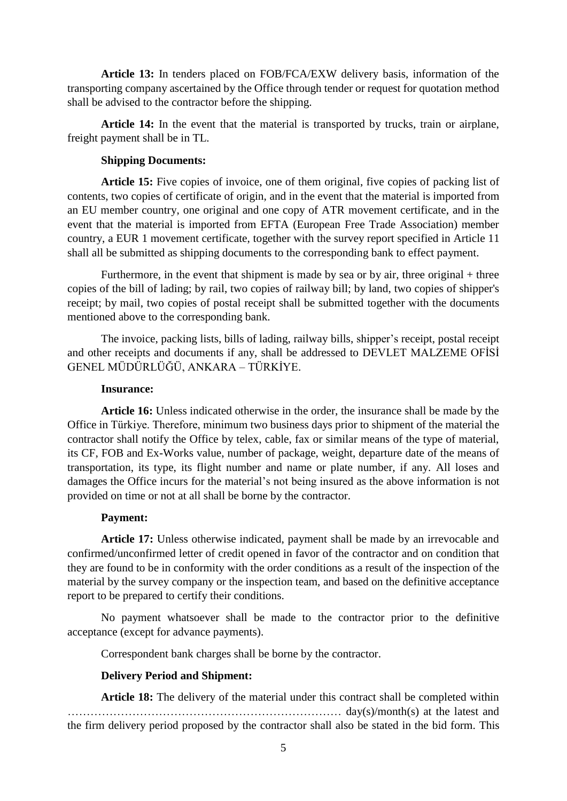**Article 13:** In tenders placed on FOB/FCA/EXW delivery basis, information of the transporting company ascertained by the Office through tender or request for quotation method shall be advised to the contractor before the shipping.

**Article 14:** In the event that the material is transported by trucks, train or airplane, freight payment shall be in TL.

## **Shipping Documents:**

**Article 15:** Five copies of invoice, one of them original, five copies of packing list of contents, two copies of certificate of origin, and in the event that the material is imported from an EU member country, one original and one copy of ATR movement certificate, and in the event that the material is imported from EFTA (European Free Trade Association) member country, a EUR 1 movement certificate, together with the survey report specified in Article 11 shall all be submitted as shipping documents to the corresponding bank to effect payment.

Furthermore, in the event that shipment is made by sea or by air, three original  $+$  three copies of the bill of lading; by rail, two copies of railway bill; by land, two copies of shipper's receipt; by mail, two copies of postal receipt shall be submitted together with the documents mentioned above to the corresponding bank.

The invoice, packing lists, bills of lading, railway bills, shipper's receipt, postal receipt and other receipts and documents if any, shall be addressed to DEVLET MALZEME OFİSİ GENEL MÜDÜRLÜĞÜ, ANKARA – TÜRKİYE.

## **Insurance:**

**Article 16:** Unless indicated otherwise in the order, the insurance shall be made by the Office in Türkiye. Therefore, minimum two business days prior to shipment of the material the contractor shall notify the Office by telex, cable, fax or similar means of the type of material, its CF, FOB and Ex-Works value, number of package, weight, departure date of the means of transportation, its type, its flight number and name or plate number, if any. All loses and damages the Office incurs for the material's not being insured as the above information is not provided on time or not at all shall be borne by the contractor.

# **Payment:**

**Article 17:** Unless otherwise indicated, payment shall be made by an irrevocable and confirmed/unconfirmed letter of credit opened in favor of the contractor and on condition that they are found to be in conformity with the order conditions as a result of the inspection of the material by the survey company or the inspection team, and based on the definitive acceptance report to be prepared to certify their conditions.

No payment whatsoever shall be made to the contractor prior to the definitive acceptance (except for advance payments).

Correspondent bank charges shall be borne by the contractor.

# **Delivery Period and Shipment:**

**Article 18:** The delivery of the material under this contract shall be completed within ……………………………………………………………… day(s)/month(s) at the latest and the firm delivery period proposed by the contractor shall also be stated in the bid form. This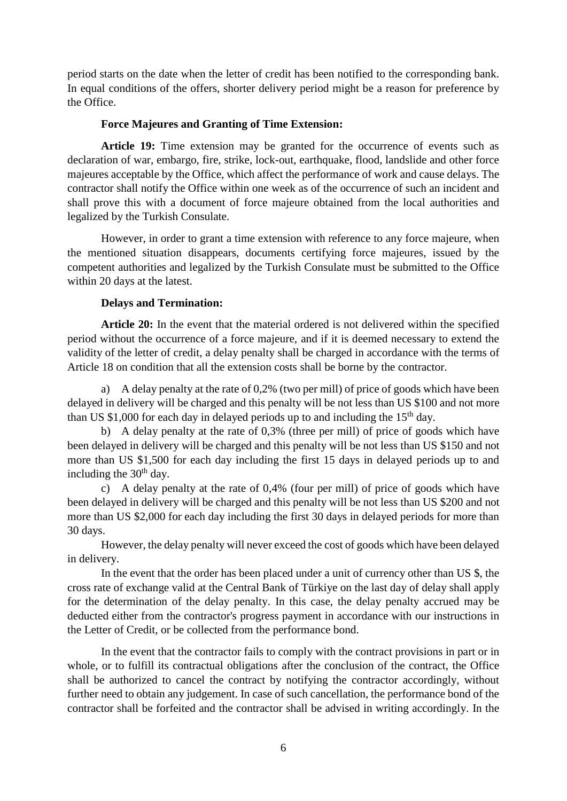period starts on the date when the letter of credit has been notified to the corresponding bank. In equal conditions of the offers, shorter delivery period might be a reason for preference by the Office.

## **Force Majeures and Granting of Time Extension:**

**Article 19:** Time extension may be granted for the occurrence of events such as declaration of war, embargo, fire, strike, lock-out, earthquake, flood, landslide and other force majeures acceptable by the Office, which affect the performance of work and cause delays. The contractor shall notify the Office within one week as of the occurrence of such an incident and shall prove this with a document of force majeure obtained from the local authorities and legalized by the Turkish Consulate.

However, in order to grant a time extension with reference to any force majeure, when the mentioned situation disappears, documents certifying force majeures, issued by the competent authorities and legalized by the Turkish Consulate must be submitted to the Office within 20 days at the latest.

## **Delays and Termination:**

**Article 20:** In the event that the material ordered is not delivered within the specified period without the occurrence of a force majeure, and if it is deemed necessary to extend the validity of the letter of credit, a delay penalty shall be charged in accordance with the terms of Article 18 on condition that all the extension costs shall be borne by the contractor.

a) A delay penalty at the rate of 0,2% (two per mill) of price of goods which have been delayed in delivery will be charged and this penalty will be not less than US \$100 and not more than US \$1,000 for each day in delayed periods up to and including the  $15<sup>th</sup>$  day.

b) A delay penalty at the rate of 0,3% (three per mill) of price of goods which have been delayed in delivery will be charged and this penalty will be not less than US \$150 and not more than US \$1,500 for each day including the first 15 days in delayed periods up to and including the  $30<sup>th</sup>$  day.

c) A delay penalty at the rate of 0,4% (four per mill) of price of goods which have been delayed in delivery will be charged and this penalty will be not less than US \$200 and not more than US \$2,000 for each day including the first 30 days in delayed periods for more than 30 days.

However, the delay penalty will never exceed the cost of goods which have been delayed in delivery.

In the event that the order has been placed under a unit of currency other than US \$, the cross rate of exchange valid at the Central Bank of Türkiye on the last day of delay shall apply for the determination of the delay penalty. In this case, the delay penalty accrued may be deducted either from the contractor's progress payment in accordance with our instructions in the Letter of Credit, or be collected from the performance bond.

In the event that the contractor fails to comply with the contract provisions in part or in whole, or to fulfill its contractual obligations after the conclusion of the contract, the Office shall be authorized to cancel the contract by notifying the contractor accordingly, without further need to obtain any judgement. In case of such cancellation, the performance bond of the contractor shall be forfeited and the contractor shall be advised in writing accordingly. In the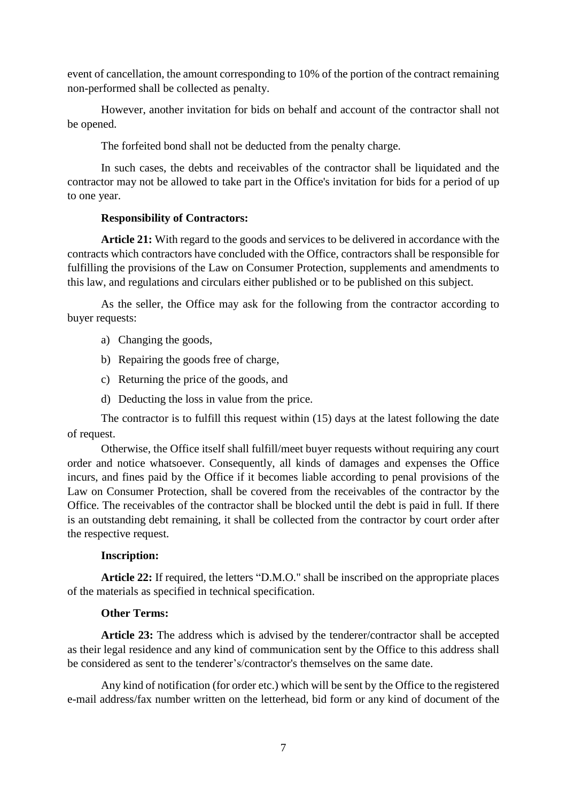event of cancellation, the amount corresponding to 10% of the portion of the contract remaining non-performed shall be collected as penalty.

However, another invitation for bids on behalf and account of the contractor shall not be opened.

The forfeited bond shall not be deducted from the penalty charge.

In such cases, the debts and receivables of the contractor shall be liquidated and the contractor may not be allowed to take part in the Office's invitation for bids for a period of up to one year.

## **Responsibility of Contractors:**

**Article 21:** With regard to the goods and services to be delivered in accordance with the contracts which contractors have concluded with the Office, contractors shall be responsible for fulfilling the provisions of the Law on Consumer Protection, supplements and amendments to this law, and regulations and circulars either published or to be published on this subject.

As the seller, the Office may ask for the following from the contractor according to buyer requests:

- a) Changing the goods,
- b) Repairing the goods free of charge,
- c) Returning the price of the goods, and
- d) Deducting the loss in value from the price.

The contractor is to fulfill this request within (15) days at the latest following the date of request.

Otherwise, the Office itself shall fulfill/meet buyer requests without requiring any court order and notice whatsoever. Consequently, all kinds of damages and expenses the Office incurs, and fines paid by the Office if it becomes liable according to penal provisions of the Law on Consumer Protection, shall be covered from the receivables of the contractor by the Office. The receivables of the contractor shall be blocked until the debt is paid in full. If there is an outstanding debt remaining, it shall be collected from the contractor by court order after the respective request.

## **Inscription:**

**Article 22:** If required, the letters "D.M.O." shall be inscribed on the appropriate places of the materials as specified in technical specification.

## **Other Terms:**

**Article 23:** The address which is advised by the tenderer/contractor shall be accepted as their legal residence and any kind of communication sent by the Office to this address shall be considered as sent to the tenderer's/contractor's themselves on the same date.

Any kind of notification (for order etc.) which will be sent by the Office to the registered e-mail address/fax number written on the letterhead, bid form or any kind of document of the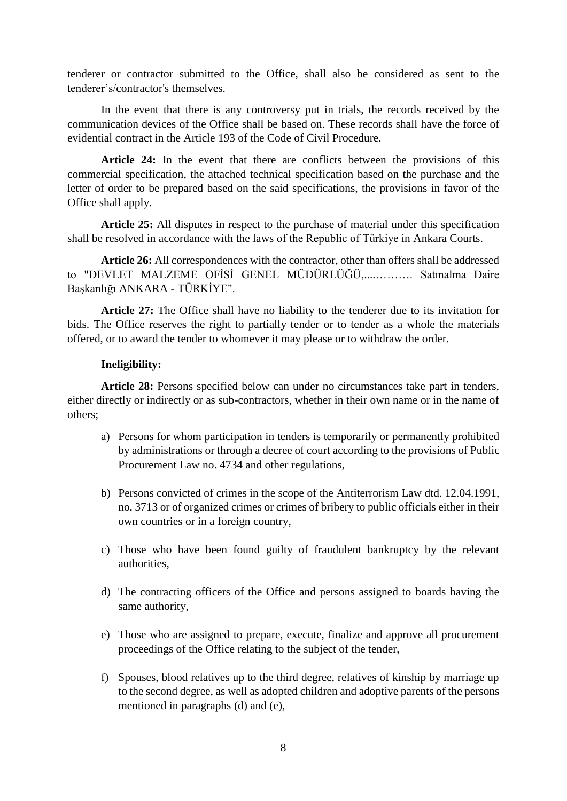tenderer or contractor submitted to the Office, shall also be considered as sent to the tenderer's/contractor's themselves.

In the event that there is any controversy put in trials, the records received by the communication devices of the Office shall be based on. These records shall have the force of evidential contract in the Article 193 of the Code of Civil Procedure.

**Article 24:** In the event that there are conflicts between the provisions of this commercial specification, the attached technical specification based on the purchase and the letter of order to be prepared based on the said specifications, the provisions in favor of the Office shall apply.

**Article 25:** All disputes in respect to the purchase of material under this specification shall be resolved in accordance with the laws of the Republic of Türkiye in Ankara Courts.

**Article 26:** All correspondences with the contractor, other than offers shall be addressed to "DEVLET MALZEME OFİSİ GENEL MÜDÜRLÜĞÜ,....………. Satınalma Daire Başkanlığı ANKARA - TÜRKİYE".

**Article 27:** The Office shall have no liability to the tenderer due to its invitation for bids. The Office reserves the right to partially tender or to tender as a whole the materials offered, or to award the tender to whomever it may please or to withdraw the order.

## **Ineligibility:**

**Article 28:** Persons specified below can under no circumstances take part in tenders, either directly or indirectly or as sub-contractors, whether in their own name or in the name of others;

- a) Persons for whom participation in tenders is temporarily or permanently prohibited by administrations or through a decree of court according to the provisions of Public Procurement Law no. 4734 and other regulations,
- b) Persons convicted of crimes in the scope of the Antiterrorism Law dtd. 12.04.1991, no. 3713 or of organized crimes or crimes of bribery to public officials either in their own countries or in a foreign country,
- c) Those who have been found guilty of fraudulent bankruptcy by the relevant authorities,
- d) The contracting officers of the Office and persons assigned to boards having the same authority,
- e) Those who are assigned to prepare, execute, finalize and approve all procurement proceedings of the Office relating to the subject of the tender,
- f) Spouses, blood relatives up to the third degree, relatives of kinship by marriage up to the second degree, as well as adopted children and adoptive parents of the persons mentioned in paragraphs (d) and (e),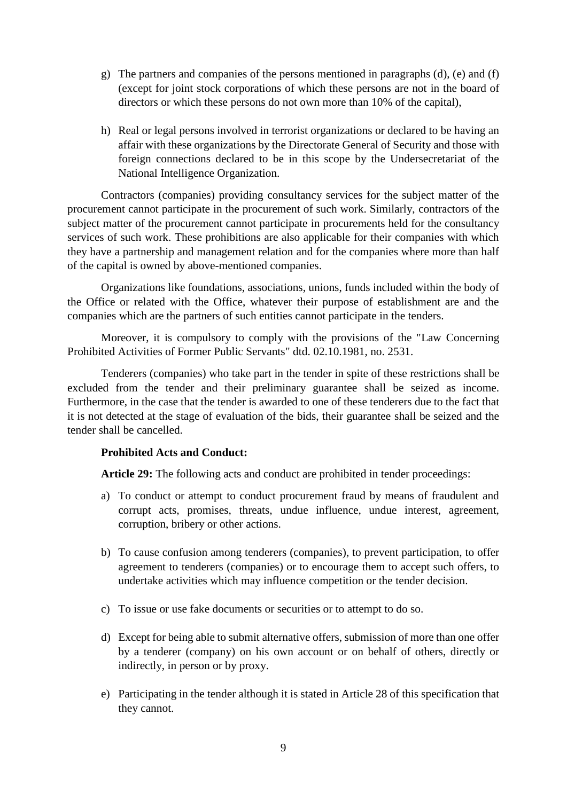- g) The partners and companies of the persons mentioned in paragraphs (d), (e) and (f) (except for joint stock corporations of which these persons are not in the board of directors or which these persons do not own more than 10% of the capital),
- h) Real or legal persons involved in terrorist organizations or declared to be having an affair with these organizations by the Directorate General of Security and those with foreign connections declared to be in this scope by the Undersecretariat of the National Intelligence Organization.

Contractors (companies) providing consultancy services for the subject matter of the procurement cannot participate in the procurement of such work. Similarly, contractors of the subject matter of the procurement cannot participate in procurements held for the consultancy services of such work. These prohibitions are also applicable for their companies with which they have a partnership and management relation and for the companies where more than half of the capital is owned by above-mentioned companies.

Organizations like foundations, associations, unions, funds included within the body of the Office or related with the Office, whatever their purpose of establishment are and the companies which are the partners of such entities cannot participate in the tenders.

Moreover, it is compulsory to comply with the provisions of the ["Law Concerning](http://tureng.com/tr/turkce-ingilizce/law%20concerning%20prohibited%20activities%20of%20former%20public%20servants)  [Prohibited Activities of Former Public Servants"](http://tureng.com/tr/turkce-ingilizce/law%20concerning%20prohibited%20activities%20of%20former%20public%20servants) dtd. 02.10.1981, no. 2531.

Tenderers (companies) who take part in the tender in spite of these restrictions shall be excluded from the tender and their preliminary guarantee shall be seized as income. Furthermore, in the case that the tender is awarded to one of these tenderers due to the fact that it is not detected at the stage of evaluation of the bids, their guarantee shall be seized and the tender shall be cancelled.

# **Prohibited Acts and Conduct:**

**Article 29:** The following acts and conduct are prohibited in tender proceedings:

- a) To conduct or attempt to conduct procurement fraud by means of fraudulent and corrupt acts, promises, threats, undue influence, undue interest, agreement, corruption, bribery or other actions.
- b) To cause confusion among tenderers (companies), to prevent participation, to offer agreement to tenderers (companies) or to encourage them to accept such offers, to undertake activities which may influence competition or the tender decision.
- c) To issue or use fake documents or securities or to attempt to do so.
- d) Except for being able to submit alternative offers, submission of more than one offer by a tenderer (company) on his own account or on behalf of others, directly or indirectly, in person or by proxy.
- e) Participating in the tender although it is stated in Article 28 of this specification that they cannot.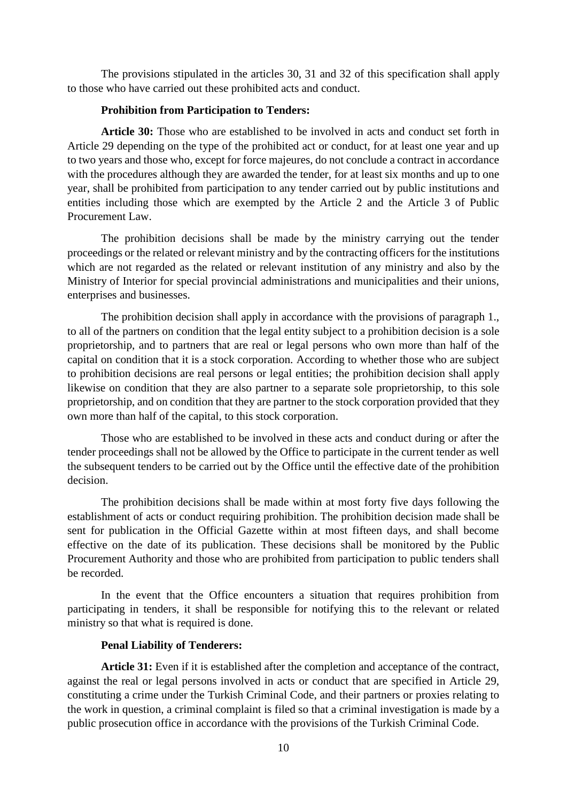The provisions stipulated in the articles 30, 31 and 32 of this specification shall apply to those who have carried out these prohibited acts and conduct.

## **Prohibition from Participation to Tenders:**

**Article 30:** Those who are established to be involved in acts and conduct set forth in Article 29 depending on the type of the prohibited act or conduct, for at least one year and up to two years and those who, except for force majeures, do not conclude a contract in accordance with the procedures although they are awarded the tender, for at least six months and up to one year, shall be prohibited from participation to any tender carried out by public institutions and entities including those which are exempted by the Article 2 and the Article 3 of Public Procurement Law.

The prohibition decisions shall be made by the ministry carrying out the tender proceedings or the related or relevant ministry and by the contracting officers for the institutions which are not regarded as the related or relevant institution of any ministry and also by the Ministry of Interior for special provincial administrations and municipalities and their unions, enterprises and businesses.

The prohibition decision shall apply in accordance with the provisions of paragraph 1., to all of the partners on condition that the legal entity subject to a prohibition decision is a sole proprietorship, and to partners that are real or legal persons who own more than half of the capital on condition that it is a stock corporation. According to whether those who are subject to prohibition decisions are real persons or legal entities; the prohibition decision shall apply likewise on condition that they are also partner to a separate sole proprietorship, to this sole proprietorship, and on condition that they are partner to the stock corporation provided that they own more than half of the capital, to this stock corporation.

Those who are established to be involved in these acts and conduct during or after the tender proceedings shall not be allowed by the Office to participate in the current tender as well the subsequent tenders to be carried out by the Office until the effective date of the prohibition decision.

The prohibition decisions shall be made within at most forty five days following the establishment of acts or conduct requiring prohibition. The prohibition decision made shall be sent for publication in the Official Gazette within at most fifteen days, and shall become effective on the date of its publication. These decisions shall be monitored by the Public Procurement Authority and those who are prohibited from participation to public tenders shall be recorded.

In the event that the Office encounters a situation that requires prohibition from participating in tenders, it shall be responsible for notifying this to the relevant or related ministry so that what is required is done.

## **Penal Liability of Tenderers:**

**Article 31:** Even if it is established after the completion and acceptance of the contract, against the real or legal persons involved in acts or conduct that are specified in Article 29, constituting a crime under the Turkish Criminal Code, and their partners or proxies relating to the work in question, a criminal complaint is filed so that a criminal investigation is made by a public prosecution office in accordance with the provisions of the Turkish Criminal Code.